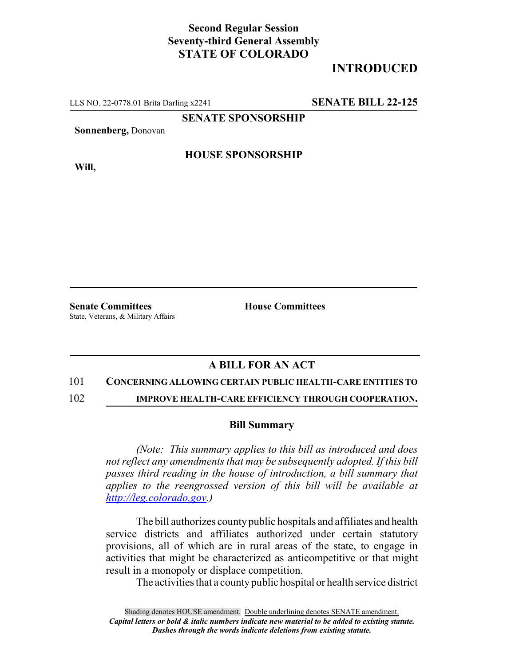## **Second Regular Session Seventy-third General Assembly STATE OF COLORADO**

# **INTRODUCED**

LLS NO. 22-0778.01 Brita Darling x2241 **SENATE BILL 22-125**

**SENATE SPONSORSHIP**

**Sonnenberg,** Donovan

**Will,**

### **HOUSE SPONSORSHIP**

**Senate Committees House Committees** State, Veterans, & Military Affairs

## **A BILL FOR AN ACT**

#### 101 **CONCERNING ALLOWING CERTAIN PUBLIC HEALTH-CARE ENTITIES TO**

102 **IMPROVE HEALTH-CARE EFFICIENCY THROUGH COOPERATION.**

### **Bill Summary**

*(Note: This summary applies to this bill as introduced and does not reflect any amendments that may be subsequently adopted. If this bill passes third reading in the house of introduction, a bill summary that applies to the reengrossed version of this bill will be available at http://leg.colorado.gov.)*

The bill authorizes county public hospitals and affiliates and health service districts and affiliates authorized under certain statutory provisions, all of which are in rural areas of the state, to engage in activities that might be characterized as anticompetitive or that might result in a monopoly or displace competition.

The activities that a county public hospital or health service district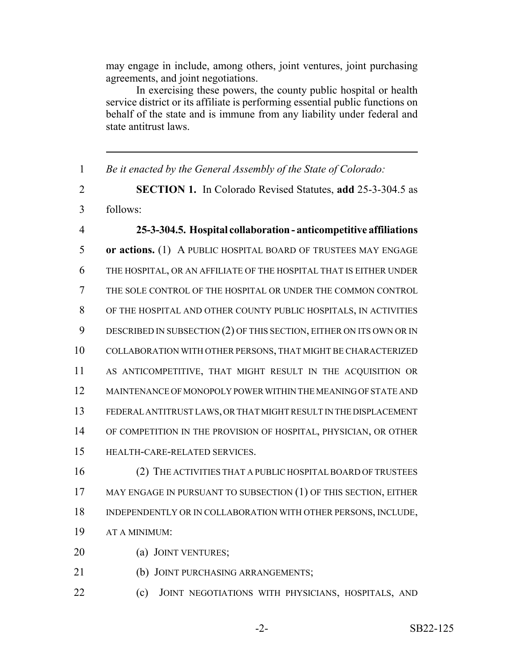may engage in include, among others, joint ventures, joint purchasing agreements, and joint negotiations.

In exercising these powers, the county public hospital or health service district or its affiliate is performing essential public functions on behalf of the state and is immune from any liability under federal and state antitrust laws.

 *Be it enacted by the General Assembly of the State of Colorado:* **SECTION 1.** In Colorado Revised Statutes, **add** 25-3-304.5 as follows: **25-3-304.5. Hospital collaboration - anticompetitive affiliations or actions.** (1) A PUBLIC HOSPITAL BOARD OF TRUSTEES MAY ENGAGE THE HOSPITAL, OR AN AFFILIATE OF THE HOSPITAL THAT IS EITHER UNDER THE SOLE CONTROL OF THE HOSPITAL OR UNDER THE COMMON CONTROL OF THE HOSPITAL AND OTHER COUNTY PUBLIC HOSPITALS, IN ACTIVITIES DESCRIBED IN SUBSECTION (2) OF THIS SECTION, EITHER ON ITS OWN OR IN COLLABORATION WITH OTHER PERSONS, THAT MIGHT BE CHARACTERIZED AS ANTICOMPETITIVE, THAT MIGHT RESULT IN THE ACQUISITION OR MAINTENANCE OF MONOPOLY POWER WITHIN THE MEANING OF STATE AND FEDERAL ANTITRUST LAWS, OR THAT MIGHT RESULT IN THE DISPLACEMENT OF COMPETITION IN THE PROVISION OF HOSPITAL, PHYSICIAN, OR OTHER HEALTH-CARE-RELATED SERVICES. (2) THE ACTIVITIES THAT A PUBLIC HOSPITAL BOARD OF TRUSTEES 17 MAY ENGAGE IN PURSUANT TO SUBSECTION (1) OF THIS SECTION, EITHER INDEPENDENTLY OR IN COLLABORATION WITH OTHER PERSONS, INCLUDE, AT A MINIMUM: (a) JOINT VENTURES; (b) JOINT PURCHASING ARRANGEMENTS;

**(c)** JOINT NEGOTIATIONS WITH PHYSICIANS, HOSPITALS, AND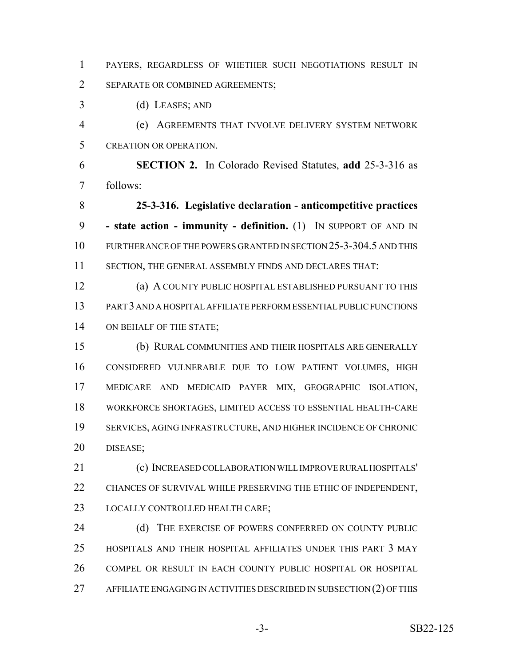PAYERS, REGARDLESS OF WHETHER SUCH NEGOTIATIONS RESULT IN SEPARATE OR COMBINED AGREEMENTS;

(d) LEASES; AND

 (e) AGREEMENTS THAT INVOLVE DELIVERY SYSTEM NETWORK CREATION OR OPERATION.

 **SECTION 2.** In Colorado Revised Statutes, **add** 25-3-316 as follows:

 **25-3-316. Legislative declaration - anticompetitive practices - state action - immunity - definition.** (1) IN SUPPORT OF AND IN FURTHERANCE OF THE POWERS GRANTED IN SECTION 25-3-304.5 AND THIS SECTION, THE GENERAL ASSEMBLY FINDS AND DECLARES THAT:

 (a) A COUNTY PUBLIC HOSPITAL ESTABLISHED PURSUANT TO THIS PART 3 AND A HOSPITAL AFFILIATE PERFORM ESSENTIAL PUBLIC FUNCTIONS ON BEHALF OF THE STATE;

 (b) RURAL COMMUNITIES AND THEIR HOSPITALS ARE GENERALLY CONSIDERED VULNERABLE DUE TO LOW PATIENT VOLUMES, HIGH MEDICARE AND MEDICAID PAYER MIX, GEOGRAPHIC ISOLATION, WORKFORCE SHORTAGES, LIMITED ACCESS TO ESSENTIAL HEALTH-CARE SERVICES, AGING INFRASTRUCTURE, AND HIGHER INCIDENCE OF CHRONIC DISEASE;

 (c) INCREASED COLLABORATION WILL IMPROVE RURAL HOSPITALS' CHANCES OF SURVIVAL WHILE PRESERVING THE ETHIC OF INDEPENDENT, 23 LOCALLY CONTROLLED HEALTH CARE;

24 (d) THE EXERCISE OF POWERS CONFERRED ON COUNTY PUBLIC HOSPITALS AND THEIR HOSPITAL AFFILIATES UNDER THIS PART 3 MAY COMPEL OR RESULT IN EACH COUNTY PUBLIC HOSPITAL OR HOSPITAL AFFILIATE ENGAGING IN ACTIVITIES DESCRIBED IN SUBSECTION (2) OF THIS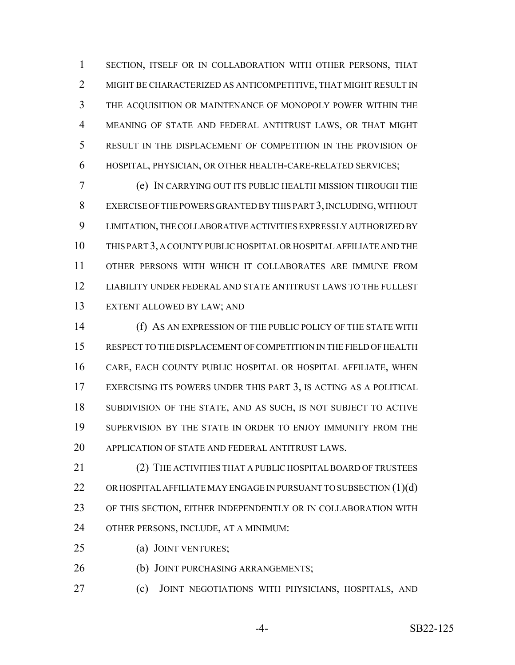SECTION, ITSELF OR IN COLLABORATION WITH OTHER PERSONS, THAT MIGHT BE CHARACTERIZED AS ANTICOMPETITIVE, THAT MIGHT RESULT IN THE ACQUISITION OR MAINTENANCE OF MONOPOLY POWER WITHIN THE MEANING OF STATE AND FEDERAL ANTITRUST LAWS, OR THAT MIGHT RESULT IN THE DISPLACEMENT OF COMPETITION IN THE PROVISION OF HOSPITAL, PHYSICIAN, OR OTHER HEALTH-CARE-RELATED SERVICES;

 (e) IN CARRYING OUT ITS PUBLIC HEALTH MISSION THROUGH THE EXERCISE OF THE POWERS GRANTED BY THIS PART 3, INCLUDING, WITHOUT LIMITATION, THE COLLABORATIVE ACTIVITIES EXPRESSLY AUTHORIZED BY THIS PART 3, A COUNTY PUBLIC HOSPITAL OR HOSPITAL AFFILIATE AND THE OTHER PERSONS WITH WHICH IT COLLABORATES ARE IMMUNE FROM LIABILITY UNDER FEDERAL AND STATE ANTITRUST LAWS TO THE FULLEST EXTENT ALLOWED BY LAW; AND

 (f) AS AN EXPRESSION OF THE PUBLIC POLICY OF THE STATE WITH RESPECT TO THE DISPLACEMENT OF COMPETITION IN THE FIELD OF HEALTH CARE, EACH COUNTY PUBLIC HOSPITAL OR HOSPITAL AFFILIATE, WHEN EXERCISING ITS POWERS UNDER THIS PART 3, IS ACTING AS A POLITICAL SUBDIVISION OF THE STATE, AND AS SUCH, IS NOT SUBJECT TO ACTIVE SUPERVISION BY THE STATE IN ORDER TO ENJOY IMMUNITY FROM THE APPLICATION OF STATE AND FEDERAL ANTITRUST LAWS.

21 (2) THE ACTIVITIES THAT A PUBLIC HOSPITAL BOARD OF TRUSTEES 22 OR HOSPITAL AFFILIATE MAY ENGAGE IN PURSUANT TO SUBSECTION  $(1)(d)$  OF THIS SECTION, EITHER INDEPENDENTLY OR IN COLLABORATION WITH OTHER PERSONS, INCLUDE, AT A MINIMUM:

- (a) JOINT VENTURES;
- 26 (b) JOINT PURCHASING ARRANGEMENTS;
- (c) JOINT NEGOTIATIONS WITH PHYSICIANS, HOSPITALS, AND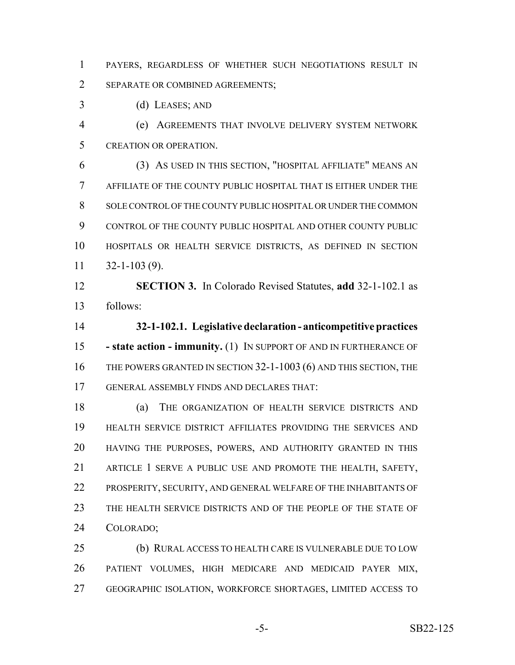PAYERS, REGARDLESS OF WHETHER SUCH NEGOTIATIONS RESULT IN SEPARATE OR COMBINED AGREEMENTS;

(d) LEASES; AND

 (e) AGREEMENTS THAT INVOLVE DELIVERY SYSTEM NETWORK CREATION OR OPERATION.

 (3) AS USED IN THIS SECTION, "HOSPITAL AFFILIATE" MEANS AN AFFILIATE OF THE COUNTY PUBLIC HOSPITAL THAT IS EITHER UNDER THE SOLE CONTROL OF THE COUNTY PUBLIC HOSPITAL OR UNDER THE COMMON CONTROL OF THE COUNTY PUBLIC HOSPITAL AND OTHER COUNTY PUBLIC HOSPITALS OR HEALTH SERVICE DISTRICTS, AS DEFINED IN SECTION  $11 \quad 32 - 1 - 103 \tag{9}.$ 

 **SECTION 3.** In Colorado Revised Statutes, **add** 32-1-102.1 as follows:

 **32-1-102.1. Legislative declaration - anticompetitive practices - state action - immunity.** (1) IN SUPPORT OF AND IN FURTHERANCE OF 16 THE POWERS GRANTED IN SECTION 32-1-1003 (6) AND THIS SECTION, THE GENERAL ASSEMBLY FINDS AND DECLARES THAT:

 (a) THE ORGANIZATION OF HEALTH SERVICE DISTRICTS AND HEALTH SERVICE DISTRICT AFFILIATES PROVIDING THE SERVICES AND HAVING THE PURPOSES, POWERS, AND AUTHORITY GRANTED IN THIS ARTICLE 1 SERVE A PUBLIC USE AND PROMOTE THE HEALTH, SAFETY, PROSPERITY, SECURITY, AND GENERAL WELFARE OF THE INHABITANTS OF THE HEALTH SERVICE DISTRICTS AND OF THE PEOPLE OF THE STATE OF COLORADO;

 (b) RURAL ACCESS TO HEALTH CARE IS VULNERABLE DUE TO LOW PATIENT VOLUMES, HIGH MEDICARE AND MEDICAID PAYER MIX, GEOGRAPHIC ISOLATION, WORKFORCE SHORTAGES, LIMITED ACCESS TO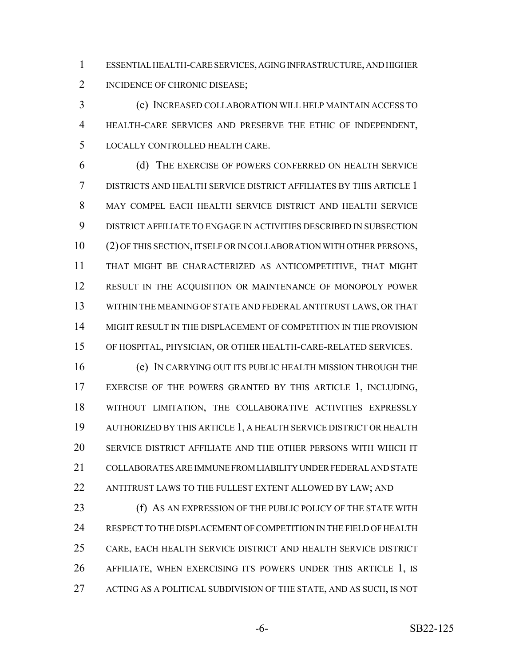ESSENTIAL HEALTH-CARE SERVICES, AGING INFRASTRUCTURE, AND HIGHER 2 INCIDENCE OF CHRONIC DISEASE;

 (c) INCREASED COLLABORATION WILL HELP MAINTAIN ACCESS TO HEALTH-CARE SERVICES AND PRESERVE THE ETHIC OF INDEPENDENT, LOCALLY CONTROLLED HEALTH CARE.

 (d) THE EXERCISE OF POWERS CONFERRED ON HEALTH SERVICE DISTRICTS AND HEALTH SERVICE DISTRICT AFFILIATES BY THIS ARTICLE 1 MAY COMPEL EACH HEALTH SERVICE DISTRICT AND HEALTH SERVICE DISTRICT AFFILIATE TO ENGAGE IN ACTIVITIES DESCRIBED IN SUBSECTION (2) OF THIS SECTION, ITSELF OR IN COLLABORATION WITH OTHER PERSONS, THAT MIGHT BE CHARACTERIZED AS ANTICOMPETITIVE, THAT MIGHT RESULT IN THE ACQUISITION OR MAINTENANCE OF MONOPOLY POWER WITHIN THE MEANING OF STATE AND FEDERAL ANTITRUST LAWS, OR THAT MIGHT RESULT IN THE DISPLACEMENT OF COMPETITION IN THE PROVISION OF HOSPITAL, PHYSICIAN, OR OTHER HEALTH-CARE-RELATED SERVICES.

 (e) IN CARRYING OUT ITS PUBLIC HEALTH MISSION THROUGH THE EXERCISE OF THE POWERS GRANTED BY THIS ARTICLE 1, INCLUDING, WITHOUT LIMITATION, THE COLLABORATIVE ACTIVITIES EXPRESSLY AUTHORIZED BY THIS ARTICLE 1, A HEALTH SERVICE DISTRICT OR HEALTH SERVICE DISTRICT AFFILIATE AND THE OTHER PERSONS WITH WHICH IT COLLABORATES ARE IMMUNE FROM LIABILITY UNDER FEDERAL AND STATE ANTITRUST LAWS TO THE FULLEST EXTENT ALLOWED BY LAW; AND

**(f)** AS AN EXPRESSION OF THE PUBLIC POLICY OF THE STATE WITH 24 RESPECT TO THE DISPLACEMENT OF COMPETITION IN THE FIELD OF HEALTH CARE, EACH HEALTH SERVICE DISTRICT AND HEALTH SERVICE DISTRICT AFFILIATE, WHEN EXERCISING ITS POWERS UNDER THIS ARTICLE 1, IS 27 ACTING AS A POLITICAL SUBDIVISION OF THE STATE, AND AS SUCH, IS NOT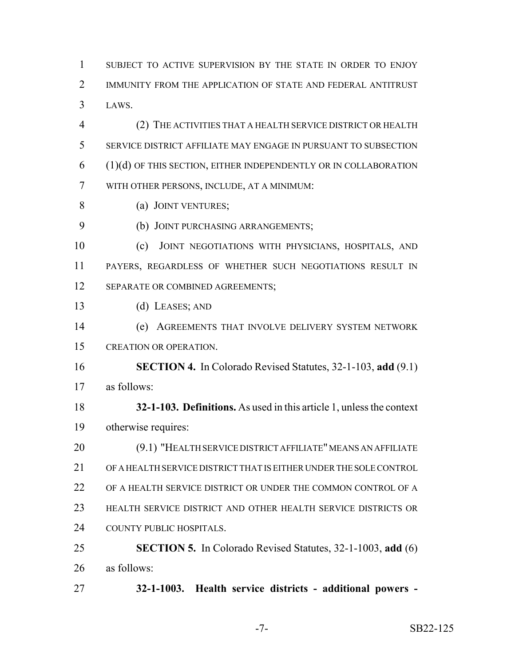SUBJECT TO ACTIVE SUPERVISION BY THE STATE IN ORDER TO ENJOY IMMUNITY FROM THE APPLICATION OF STATE AND FEDERAL ANTITRUST LAWS.

 (2) THE ACTIVITIES THAT A HEALTH SERVICE DISTRICT OR HEALTH SERVICE DISTRICT AFFILIATE MAY ENGAGE IN PURSUANT TO SUBSECTION (1)(d) OF THIS SECTION, EITHER INDEPENDENTLY OR IN COLLABORATION WITH OTHER PERSONS, INCLUDE, AT A MINIMUM:

- (a) JOINT VENTURES;
- (b) JOINT PURCHASING ARRANGEMENTS;

 (c) JOINT NEGOTIATIONS WITH PHYSICIANS, HOSPITALS, AND PAYERS, REGARDLESS OF WHETHER SUCH NEGOTIATIONS RESULT IN 12 SEPARATE OR COMBINED AGREEMENTS;

(d) LEASES; AND

 (e) AGREEMENTS THAT INVOLVE DELIVERY SYSTEM NETWORK CREATION OR OPERATION.

 **SECTION 4.** In Colorado Revised Statutes, 32-1-103, **add** (9.1) as follows:

- **32-1-103. Definitions.** As used in this article 1, unless the context otherwise requires:
- (9.1) "HEALTH SERVICE DISTRICT AFFILIATE" MEANS AN AFFILIATE OF A HEALTH SERVICE DISTRICT THAT IS EITHER UNDER THE SOLE CONTROL OF A HEALTH SERVICE DISTRICT OR UNDER THE COMMON CONTROL OF A HEALTH SERVICE DISTRICT AND OTHER HEALTH SERVICE DISTRICTS OR 24 COUNTY PUBLIC HOSPITALS.

 **SECTION 5.** In Colorado Revised Statutes, 32-1-1003, **add** (6) as follows:

**32-1-1003. Health service districts - additional powers -**